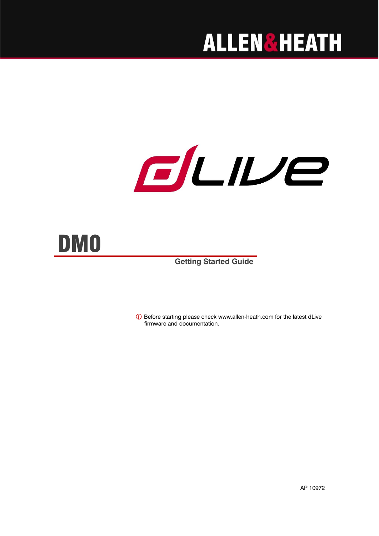## **ALLEN&HEATH**

# ELIVe



**Getting Started Guide**

 Before starting please check [www.allen-heath.com](http://www.allen-heath.com/) for the latest dLive firmware and documentation.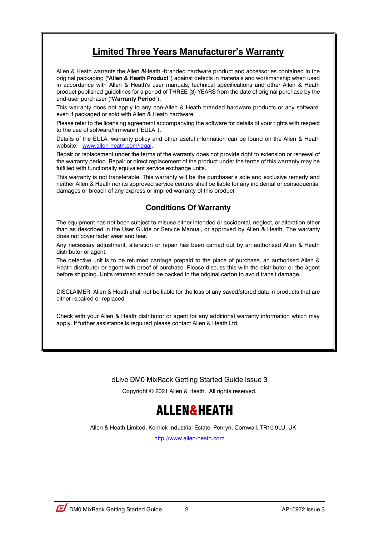### **Limited Three Years Manufacturer's Warranty**

Allen & Heath warrants the Allen &Heath -branded hardware product and accessories contained in the original packaging ("**Allen & Heath Product**") against defects in materials and workmanship when used in accordance with Allen & Heath's user manuals, technical specifications and other Allen & Heath product published guidelines for a period of THREE (3) YEARS from the date of original purchase by the end-user purchaser ("**Warranty Period**").

This warranty does not apply to any non-Allen & Heath branded hardware products or any software, even if packaged or sold with Allen & Heath hardware.

Please refer to the licensing agreement accompanying the software for details of your rights with respect to the use of software/firmware ("EULA").

Details of the EULA, warranty policy and other useful information can be found on the Allen & Heath website: [www.allen-heath.com/legal.](http://www.allen-heath.com/legal)

Repair or replacement under the terms of the warranty does not provide right to extension or renewal of the warranty period. Repair or direct replacement of the product under the terms of this warranty may be fulfilled with functionally equivalent service exchange units.

This warranty is not transferable. This warranty will be the purchaser's sole and exclusive remedy and neither Allen & Heath nor its approved service centres shall be liable for any incidental or consequential damages or breach of any express or implied warranty of this product.

#### **Conditions Of Warranty**

The equipment has not been subject to misuse either intended or accidental, neglect, or alteration other than as described in the User Guide or Service Manual, or approved by Allen & Heath. The warranty does not cover fader wear and tear.

Any necessary adjustment, alteration or repair has been carried out by an authorised Allen & Heath distributor or agent.

The defective unit is to be returned carriage prepaid to the place of purchase, an authorised Allen & Heath distributor or agent with proof of purchase. Please discuss this with the distributor or the agent before shipping. Units returned should be packed in the original carton to avoid transit damage.

DISCLAIMER: Allen & Heath shall not be liable for the loss of any saved/stored data in products that are either repaired or replaced.

Check with your Allen & Heath distributor or agent for any additional warranty information which may apply. If further assistance is required please contact Allen & Heath Ltd.

dLive DM0 MixRack Getting Started Guide Issue 3

Copyright © 2021 Allen & Heath. All rights reserved.

## ALLEN&HEATH

Allen & Heath Limited, Kernick Industrial Estate, Penryn, Cornwall, TR10 9LU, UK

[http://www.allen-heath.com](http://www.allen-heath.com/)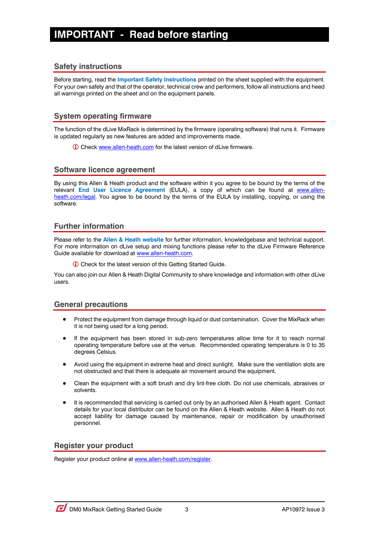## <span id="page-2-0"></span>**IMPORTANT - Read before starting**

#### **Safety instructions**

Before starting, read the **Important Safety Instructions** printed on the sheet supplied with the equipment. For your own safety and that of the operator, technical crew and performers, follow all instructions and heed all warnings printed on the sheet and on the equipment panels.

#### **System operating firmware**

The function of the dLive MixRack is determined by the firmware (operating software) that runs it. Firmware is updated regularly as new features are added and improvements made.

Check [www.allen-heath.com](http://www.allen-heath.com/) for the latest version of dLive firmware.

#### **Software licence agreement**

By using this Allen & Heath product and the software within it you agree to be bound by the terms of the relevant **End User Licence Agreement** (EULA), a copy of which can be found at [www.allen](http://www.allen-heath.com/legal)[heath.com/legal.](http://www.allen-heath.com/legal) You agree to be bound by the terms of the EULA by installing, copying, or using the software.

#### **Further information**

Please refer to the **Allen & Heath website** for further information, knowledgebase and technical support. For more information on dLive setup and mixing functions please refer to the dLive Firmware Reference Guide available for download a[t www.allen-heath.com.](http://www.allen-heath.com/)

Check for the latest version of this Getting Started Guide.

You can also join our Allen & Heath Digital Community to share knowledge and information with other dLive users.

#### **General precautions**

- Protect the equipment from damage through liquid or dust contamination. Cover the MixRack when it is not being used for a long period.
- If the equipment has been stored in sub-zero temperatures allow time for it to reach normal operating temperature before use at the venue. Recommended operating temperature is 0 to 35 degrees Celsius.
- Avoid using the equipment in extreme heat and direct sunlight. Make sure the ventilation slots are not obstructed and that there is adequate air movement around the equipment.
- Clean the equipment with a soft brush and dry lint-free cloth. Do not use chemicals, abrasives or solvents.
- It is recommended that servicing is carried out only by an authorised Allen & Heath agent. Contact details for your local distributor can be found on the Allen & Heath website. Allen & Heath do not accept liability for damage caused by maintenance, repair or modification by unauthorised personnel.

#### **Register your product**

Register your product online a[t www.allen-heath.com/register.](http://www.allen-heath.com/register)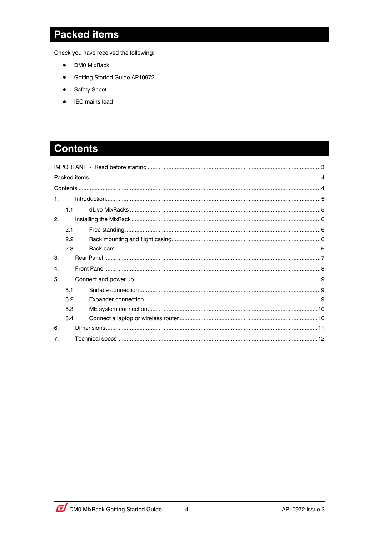## <span id="page-3-0"></span>**Packed items**

Check you have received the following:

- DM0 MixRack  $\bullet$
- Getting Started Guide AP10972  $\bullet$
- Safety Sheet  $\bullet$
- IEC mains lead  $\bullet$

## <span id="page-3-1"></span>**Contents**

| $\mathbf{1}$ .        |     |  |  |  |
|-----------------------|-----|--|--|--|
|                       | 11  |  |  |  |
| $\mathcal{P}_{\cdot}$ |     |  |  |  |
|                       | 2.1 |  |  |  |
|                       | 2.2 |  |  |  |
|                       | 2.3 |  |  |  |
| 3.                    |     |  |  |  |
| 4.                    |     |  |  |  |
| 5.                    |     |  |  |  |
|                       | 51  |  |  |  |
|                       | 5.2 |  |  |  |
|                       | 5.3 |  |  |  |
|                       | 5.4 |  |  |  |
| 6.                    |     |  |  |  |
| $\overline{7}$ .      |     |  |  |  |

 $\overline{\mathbf{4}}$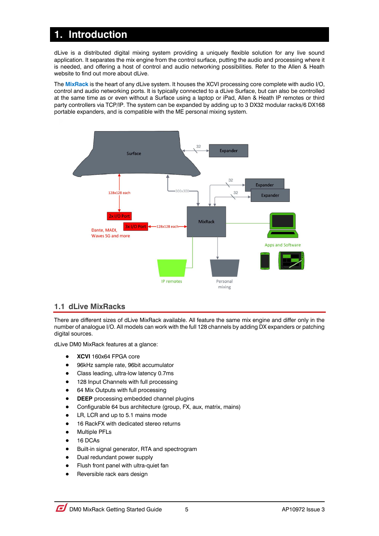## <span id="page-4-0"></span>**1. Introduction**

dLive is a distributed digital mixing system providing a uniquely flexible solution for any live sound application. It separates the mix engine from the control surface, putting the audio and processing where it is needed, and offering a host of control and audio networking possibilities. Refer to the Allen & Heath website to find out more about dLive.

The **MixRack** is the heart of any dLive system. It houses the XCVI processing core complete with audio I/O, control and audio networking ports. It is typically connected to a dLive Surface, but can also be controlled at the same time as or even without a Surface using a laptop or iPad, Allen & Heath IP remotes or third party controllers via TCP/IP. The system can be expanded by adding up to 3 DX32 modular racks/6 DX168 portable expanders, and is compatible with the ME personal mixing system.



#### <span id="page-4-1"></span>**1.1 dLive MixRacks**

There are different sizes of dLive MixRack available. All feature the same mix engine and differ only in the number of analogue I/O. All models can work with the full 128 channels by adding DX expanders or patching digital sources.

dLive DM0 MixRack features at a glance:

- **XCVI** 160x64 FPGA core
- 96kHz sample rate, 96bit accumulator
- Class leading, ultra-low latency 0.7ms
- 128 Input Channels with full processing
- 64 Mix Outputs with full processing
- **DEEP** processing embedded channel plugins
- Configurable 64 bus architecture (group, FX, aux, matrix, mains)
- LR, LCR and up to 5.1 mains mode
- 16 RackFX with dedicated stereo returns
- Multiple PFLs
- 16 DCAs
- Built-in signal generator, RTA and spectrogram
- Dual redundant power supply
- Flush front panel with ultra-quiet fan
- Reversible rack ears design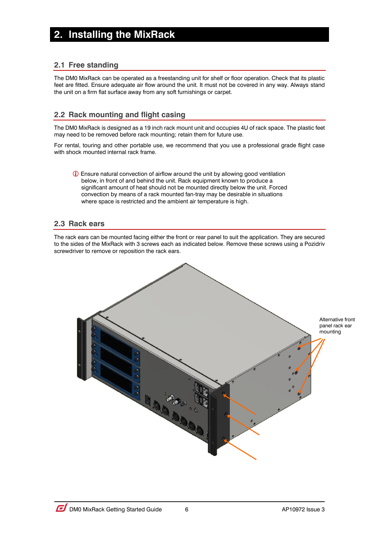## <span id="page-5-0"></span>**2. Installing the MixRack**

#### <span id="page-5-1"></span>**2.1 Free standing**

The DM0 MixRack can be operated as a freestanding unit for shelf or floor operation. Check that its plastic feet are fitted. Ensure adequate air flow around the unit. It must not be covered in any way. Always stand the unit on a firm flat surface away from any soft furnishings or carpet.

#### <span id="page-5-2"></span>**2.2 Rack mounting and flight casing**

The DM0 MixRack is designed as a 19 inch rack mount unit and occupies 4U of rack space. The plastic feet may need to be removed before rack mounting; retain them for future use.

For rental, touring and other portable use, we recommend that you use a professional grade flight case with shock mounted internal rack frame.

 Ensure natural convection of airflow around the unit by allowing good ventilation below, in front of and behind the unit. Rack equipment known to produce a significant amount of heat should not be mounted directly below the unit. Forced convection by means of a rack mounted fan-tray may be desirable in situations where space is restricted and the ambient air temperature is high.

#### <span id="page-5-3"></span>**2.3 Rack ears**

The rack ears can be mounted facing either the front or rear panel to suit the application. They are secured to the sides of the MixRack with 3 screws each as indicated below. Remove these screws using a Pozidriv screwdriver to remove or reposition the rack ears.

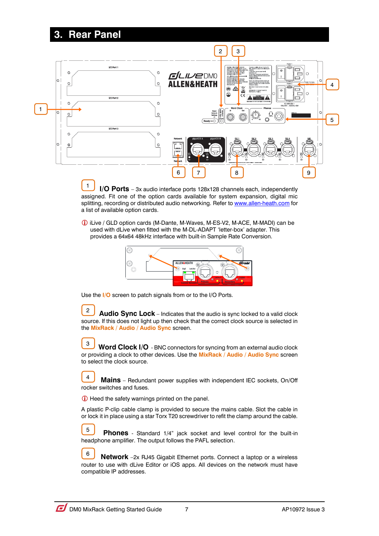## <span id="page-6-0"></span>**3. Rear Panel**



**I/O Ports** – 3x audio interface ports 128x128 channels each, independently assigned. Fit one of the option cards available for system expansion, digital mic splitting, recording or distributed audio networking. Refer to [www.allen-heath.com](http://www.allen-heath.com/) for a list of available option cards. 1

 iLive / GLD option cards (M-Dante, M-Waves, M-ES-V2, M-ACE, M-MADI) can be used with dLive when fitted with the M-DL-ADAPT 'letter-box' adapter. This provides a 64x64 48kHz interface with built-in Sample Rate Conversion.



Use the **I/O** screen to patch signals from or to the I/O Ports.

 **Audio Sync Lock** – Indicates that the audio is sync locked to a valid clock source. If this does not light up then check that the correct clock source is selected in the **MixRack / Audio / Audio Sync** screen. 2

 **Word Clock I/O** - BNC connectors for syncing from an external audio clock or providing a clock to other devices. Use the **MixRack / Audio / Audio Sync** screen to select the clock source. 3

 **Mains** – Redundant power supplies with independent IEC sockets, On/Off rocker switches and fuses. 4

Heed the safety warnings printed on the panel.

A plastic P-clip cable clamp is provided to secure the mains cable. Slot the cable in or lock it in place using a star Torx T20 screwdriver to refit the clamp around the cable.

**Phones** - Standard 1/4" jack socket and level control for the built-in headphone amplifier. The output follows the PAFL selection. 5

 **Network** –2x RJ45 Gigabit Ethernet ports. Connect a laptop or a wireless router to use with dLive Editor or iOS apps. All devices on the network must have compatible IP addresses. 6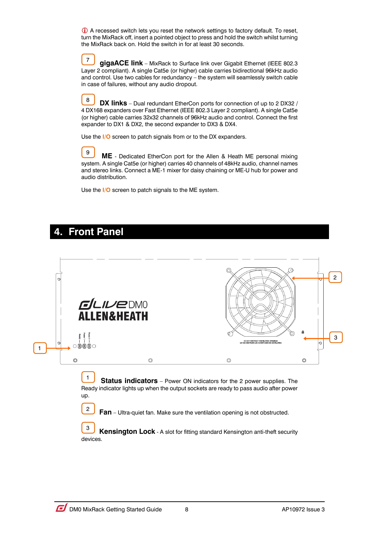A recessed switch lets you reset the network settings to factory default. To reset, turn the MixRack off, insert a pointed object to press and hold the switch whilst turning the MixRack back on. Hold the switch in for at least 30 seconds.

 **gigaACE link** – MixRack to Surface link over Gigabit Ethernet (IEEE 802.3 Layer 2 compliant). A single Cat5e (or higher) cable carries bidirectional 96kHz audio and control. Use two cables for redundancy – the system will seamlessly switch cable in case of failures, without any audio dropout. 7

**DX links** – Dual redundant EtherCon ports for connection of up to 2 DX32 / 4 DX168 expanders over Fast Ethernet (IEEE 802.3 Layer 2 compliant). A single Cat5e (or higher) cable carries 32x32 channels of 96kHz audio and control. Connect the first expander to DX1 & DX2, the second expander to DX3 & DX4. 8

Use the **I/O** screen to patch signals from or to the DX expanders.

 **ME** - Dedicated EtherCon port for the Allen & Heath ME personal mixing system. A single Cat5e (or higher) carries 40 channels of 48kHz audio, channel names and stereo links. Connect a ME-1 mixer for daisy chaining or ME-U hub for power and audio distribution. 9

Use the **I/O** screen to patch signals to the ME system.

## <span id="page-7-0"></span>**4. Front Panel**

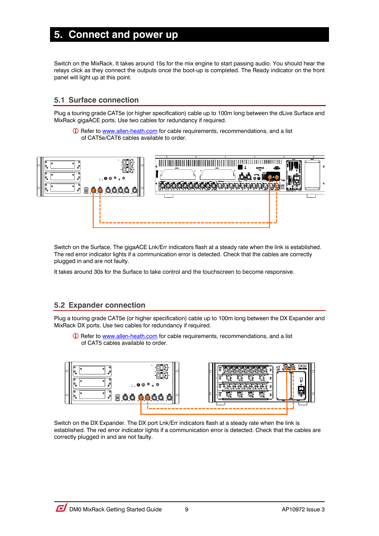## <span id="page-8-0"></span>**5. Connect and power up**

Switch on the MixRack. It takes around 15s for the mix engine to start passing audio. You should hear the relays click as they connect the outputs once the boot-up is completed. The Ready indicator on the front panel will light up at this point.

#### <span id="page-8-1"></span>**5.1 Surface connection**

Plug a touring grade CAT5e (or higher specification) cable up to 100m long between the dLive Surface and MixRack gigaACE ports. Use two cables for redundancy if required.

**C** Refer to [www.allen-heath.com](http://www.allen-heath.com/) for cable requirements, recommendations, and a list of CAT5e/CAT6 cables available to order.



Switch on the Surface. The gigaACE Lnk/Err indicators flash at a steady rate when the link is established. The red error indicator lights if a communication error is detected. Check that the cables are correctly plugged in and are not faulty.

It takes around 30s for the Surface to take control and the touchscreen to become responsive.

#### <span id="page-8-2"></span>**5.2 Expander connection**

Plug a touring grade CAT5e (or higher specification) cable up to 100m long between the DX Expander and MixRack DX ports. Use two cables for redundancy if required.

 Refer to [www.allen-heath.com](http://www.allen-heath.com/) for cable requirements, recommendations, and a list of CAT5 cables available to order.



Switch on the DX Expander. The DX port Lnk/Err indicators flash at a steady rate when the link is established. The red error indicator lights if a communication error is detected. Check that the cables are correctly plugged in and are not faulty.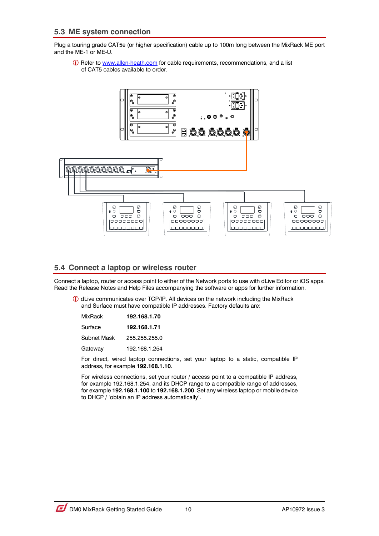<span id="page-9-0"></span>Plug a touring grade CAT5e (or higher specification) cable up to 100m long between the MixRack ME port and the ME-1 or ME-U.

**C** Refer to [www.allen-heath.com](http://www.allen-heath.com/) for cable requirements, recommendations, and a list of CAT5 cables available to order.



#### <span id="page-9-1"></span>**5.4 Connect a laptop or wireless router**

Connect a laptop, router or access point to either of the Network ports to use with dLive Editor or iOS apps. Read the Release Notes and Help Files accompanying the software or apps for further information.

 dLive communicates over TCP/IP. All devices on the network including the MixRack and Surface must have compatible IP addresses. Factory defaults are:

| MixRack     | 192.168.1.70  |
|-------------|---------------|
| Surface     | 192.168.1.71  |
| Subnet Mask | 255.255.255.0 |
| Gatewav     | 192.168.1.254 |

For direct, wired laptop connections, set your laptop to a static, compatible IP address, for example **192.168.1.10**.

For wireless connections, set your router / access point to a compatible IP address, for example 192.168.1.254, and its DHCP range to a compatible range of addresses, for example **192.168.1.100** to **192.168.1.200**. Set any wireless laptop or mobile device to DHCP / 'obtain an IP address automatically'.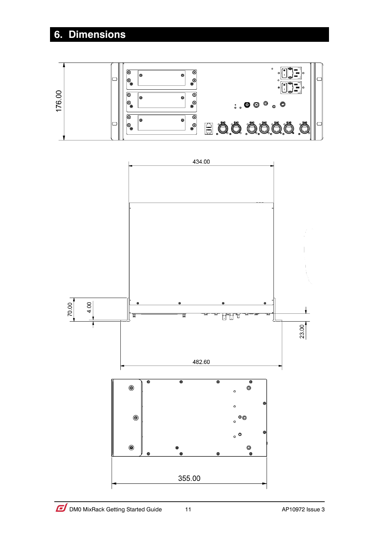## <span id="page-10-0"></span>**6. Dimensions**